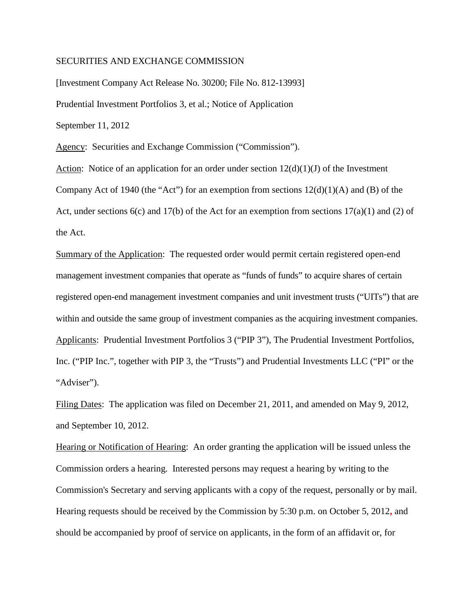## SECURITIES AND EXCHANGE COMMISSION

[Investment Company Act Release No. 30200; File No. 812-13993] Prudential Investment Portfolios 3, et al.; Notice of Application September 11, 2012

Agency: Securities and Exchange Commission ("Commission").

Action: Notice of an application for an order under section  $12(d)(1)(J)$  of the Investment Company Act of 1940 (the "Act") for an exemption from sections  $12(d)(1)(A)$  and (B) of the Act, under sections  $6(c)$  and  $17(b)$  of the Act for an exemption from sections  $17(a)(1)$  and (2) of the Act.

Summary of the Application: The requested order would permit certain registered open-end management investment companies that operate as "funds of funds" to acquire shares of certain registered open-end management investment companies and unit investment trusts ("UITs") that are within and outside the same group of investment companies as the acquiring investment companies. Applicants: Prudential Investment Portfolios 3 ("PIP 3"), The Prudential Investment Portfolios, Inc. ("PIP Inc.", together with PIP 3, the "Trusts") and Prudential Investments LLC ("PI" or the "Adviser").

Filing Dates: The application was filed on December 21, 2011, and amended on May 9, 2012, and September 10, 2012.

Hearing or Notification of Hearing: An order granting the application will be issued unless the Commission orders a hearing. Interested persons may request a hearing by writing to the Commission's Secretary and serving applicants with a copy of the request, personally or by mail. Hearing requests should be received by the Commission by 5:30 p.m. on October 5, 2012**,** and should be accompanied by proof of service on applicants, in the form of an affidavit or, for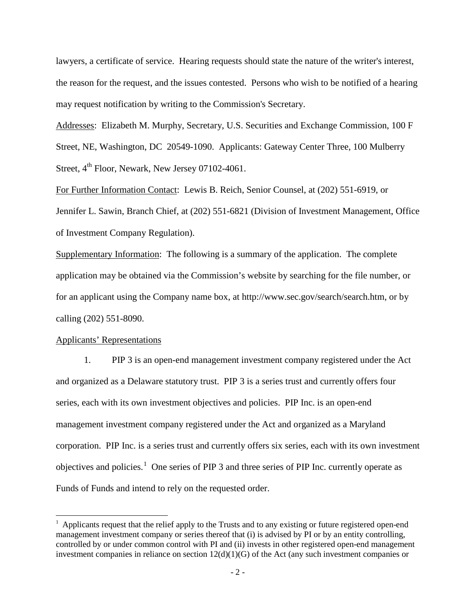lawyers, a certificate of service. Hearing requests should state the nature of the writer's interest, the reason for the request, and the issues contested. Persons who wish to be notified of a hearing may request notification by writing to the Commission's Secretary.

Addresses: Elizabeth M. Murphy, Secretary, U.S. Securities and Exchange Commission, 100 F Street, NE, Washington, DC 20549-1090. Applicants: Gateway Center Three, 100 Mulberry Street,  $4^{th}$  Floor, Newark, New Jersey 07102-4061.

For Further Information Contact: Lewis B. Reich, Senior Counsel, at (202) 551-6919, or Jennifer L. Sawin, Branch Chief, at (202) 551-6821 (Division of Investment Management, Office of Investment Company Regulation).

Supplementary Information: The following is a summary of the application. The complete application may be obtained via the Commission's website by searching for the file number, or for an applicant using the Company name box, at http://www.sec.gov/search/search.htm, or by calling (202) 551-8090.

#### Applicants' Representations

1. PIP 3 is an open-end management investment company registered under the Act and organized as a Delaware statutory trust. PIP 3 is a series trust and currently offers four series, each with its own investment objectives and policies. PIP Inc. is an open-end management investment company registered under the Act and organized as a Maryland corporation. PIP Inc. is a series trust and currently offers six series, each with its own investment objectives and policies.<sup>[1](#page-1-0)</sup> One series of PIP 3 and three series of PIP Inc. currently operate as Funds of Funds and intend to rely on the requested order.

<span id="page-1-0"></span> $1$  Applicants request that the relief apply to the Trusts and to any existing or future registered open-end management investment company or series thereof that (i) is advised by PI or by an entity controlling, controlled by or under common control with PI and (ii) invests in other registered open-end management investment companies in reliance on section 12(d)(1)(G) of the Act (any such investment companies or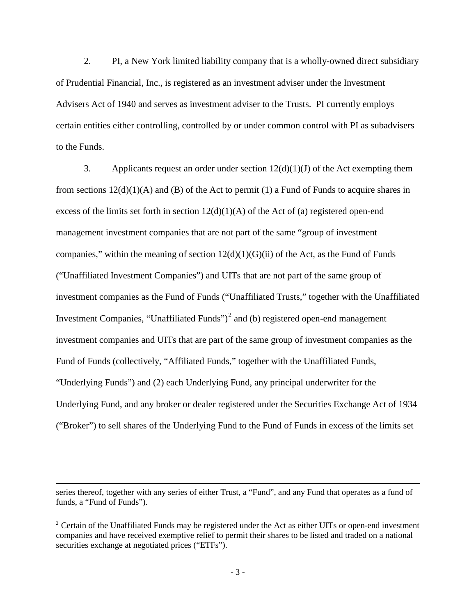2. PI, a New York limited liability company that is a wholly-owned direct subsidiary of Prudential Financial, Inc., is registered as an investment adviser under the Investment Advisers Act of 1940 and serves as investment adviser to the Trusts. PI currently employs certain entities either controlling, controlled by or under common control with PI as subadvisers to the Funds.

3. Applicants request an order under section  $12(d)(1)(J)$  of the Act exempting them from sections  $12(d)(1)(A)$  and (B) of the Act to permit (1) a Fund of Funds to acquire shares in excess of the limits set forth in section  $12(d)(1)(A)$  of the Act of (a) registered open-end management investment companies that are not part of the same "group of investment companies," within the meaning of section  $12(d)(1)(G)(ii)$  of the Act, as the Fund of Funds ("Unaffiliated Investment Companies") and UITs that are not part of the same group of investment companies as the Fund of Funds ("Unaffiliated Trusts," together with the Unaffiliated Investment Companies, "Unaffiliated Funds" $)^2$  $)^2$  and (b) registered open-end management investment companies and UITs that are part of the same group of investment companies as the Fund of Funds (collectively, "Affiliated Funds," together with the Unaffiliated Funds, "Underlying Funds") and (2) each Underlying Fund, any principal underwriter for the Underlying Fund, and any broker or dealer registered under the Securities Exchange Act of 1934 ("Broker") to sell shares of the Underlying Fund to the Fund of Funds in excess of the limits set

 $\overline{a}$ 

series thereof, together with any series of either Trust, a "Fund", and any Fund that operates as a fund of funds, a "Fund of Funds").

<span id="page-2-0"></span><sup>&</sup>lt;sup>2</sup> Certain of the Unaffiliated Funds may be registered under the Act as either UITs or open-end investment companies and have received exemptive relief to permit their shares to be listed and traded on a national securities exchange at negotiated prices ("ETFs").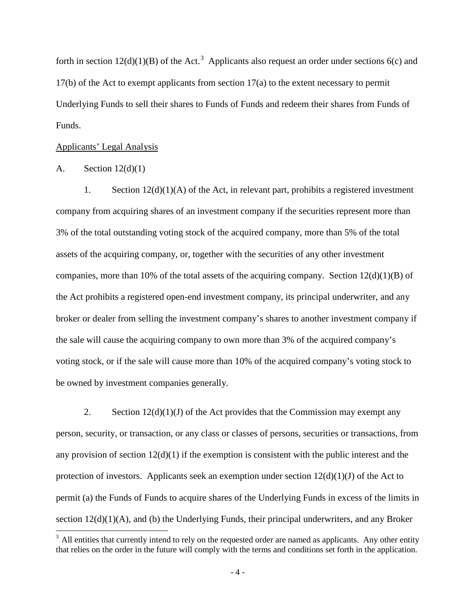forth in section  $12(d)(1)(B)$  of the Act.<sup>[3](#page-3-0)</sup> Applicants also request an order under sections 6(c) and 17(b) of the Act to exempt applicants from section 17(a) to the extent necessary to permit Underlying Funds to sell their shares to Funds of Funds and redeem their shares from Funds of Funds.

#### Applicants' Legal Analysis

# A. Section  $12(d)(1)$

1. Section  $12(d)(1)(A)$  of the Act, in relevant part, prohibits a registered investment company from acquiring shares of an investment company if the securities represent more than 3% of the total outstanding voting stock of the acquired company, more than 5% of the total assets of the acquiring company, or, together with the securities of any other investment companies, more than 10% of the total assets of the acquiring company. Section  $12(d)(1)(B)$  of the Act prohibits a registered open-end investment company, its principal underwriter, and any broker or dealer from selling the investment company's shares to another investment company if the sale will cause the acquiring company to own more than 3% of the acquired company's voting stock, or if the sale will cause more than 10% of the acquired company's voting stock to be owned by investment companies generally.

2. Section  $12(d)(1)(J)$  of the Act provides that the Commission may exempt any person, security, or transaction, or any class or classes of persons, securities or transactions, from any provision of section  $12(d)(1)$  if the exemption is consistent with the public interest and the protection of investors. Applicants seek an exemption under section  $12(d)(1)(J)$  of the Act to permit (a) the Funds of Funds to acquire shares of the Underlying Funds in excess of the limits in section  $12(d)(1)(A)$ , and (b) the Underlying Funds, their principal underwriters, and any Broker

<span id="page-3-0"></span> $3$  All entities that currently intend to rely on the requested order are named as applicants. Any other entity that relies on the order in the future will comply with the terms and conditions set forth in the application.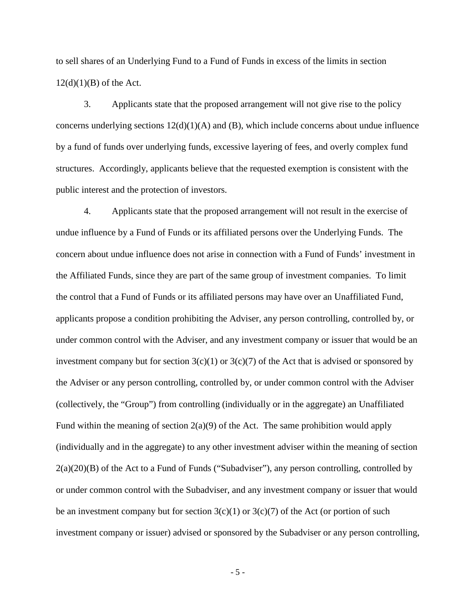to sell shares of an Underlying Fund to a Fund of Funds in excess of the limits in section  $12(d)(1)(B)$  of the Act.

3. Applicants state that the proposed arrangement will not give rise to the policy concerns underlying sections  $12(d)(1)(A)$  and  $(B)$ , which include concerns about undue influence by a fund of funds over underlying funds, excessive layering of fees, and overly complex fund structures. Accordingly, applicants believe that the requested exemption is consistent with the public interest and the protection of investors.

4. Applicants state that the proposed arrangement will not result in the exercise of undue influence by a Fund of Funds or its affiliated persons over the Underlying Funds. The concern about undue influence does not arise in connection with a Fund of Funds' investment in the Affiliated Funds, since they are part of the same group of investment companies. To limit the control that a Fund of Funds or its affiliated persons may have over an Unaffiliated Fund, applicants propose a condition prohibiting the Adviser, any person controlling, controlled by, or under common control with the Adviser, and any investment company or issuer that would be an investment company but for section  $3(c)(1)$  or  $3(c)(7)$  of the Act that is advised or sponsored by the Adviser or any person controlling, controlled by, or under common control with the Adviser (collectively, the "Group") from controlling (individually or in the aggregate) an Unaffiliated Fund within the meaning of section  $2(a)(9)$  of the Act. The same prohibition would apply (individually and in the aggregate) to any other investment adviser within the meaning of section 2(a)(20)(B) of the Act to a Fund of Funds ("Subadviser"), any person controlling, controlled by or under common control with the Subadviser, and any investment company or issuer that would be an investment company but for section  $3(c)(1)$  or  $3(c)(7)$  of the Act (or portion of such investment company or issuer) advised or sponsored by the Subadviser or any person controlling,

- 5 -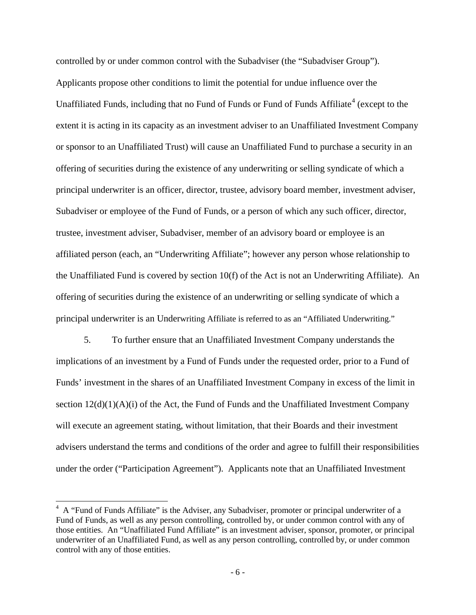controlled by or under common control with the Subadviser (the "Subadviser Group"). Applicants propose other conditions to limit the potential for undue influence over the Unaffiliated Funds, including that no Fund of Funds or Fund of Funds Affiliate<sup>[4](#page-5-0)</sup> (except to the extent it is acting in its capacity as an investment adviser to an Unaffiliated Investment Company or sponsor to an Unaffiliated Trust) will cause an Unaffiliated Fund to purchase a security in an offering of securities during the existence of any underwriting or selling syndicate of which a principal underwriter is an officer, director, trustee, advisory board member, investment adviser, Subadviser or employee of the Fund of Funds, or a person of which any such officer, director, trustee, investment adviser, Subadviser, member of an advisory board or employee is an affiliated person (each, an "Underwriting Affiliate"; however any person whose relationship to the Unaffiliated Fund is covered by section 10(f) of the Act is not an Underwriting Affiliate). An offering of securities during the existence of an underwriting or selling syndicate of which a principal underwriter is an Underwriting Affiliate is referred to as an "Affiliated Underwriting."

5. To further ensure that an Unaffiliated Investment Company understands the implications of an investment by a Fund of Funds under the requested order, prior to a Fund of Funds' investment in the shares of an Unaffiliated Investment Company in excess of the limit in section  $12(d)(1)(A)(i)$  of the Act, the Fund of Funds and the Unaffiliated Investment Company will execute an agreement stating, without limitation, that their Boards and their investment advisers understand the terms and conditions of the order and agree to fulfill their responsibilities under the order ("Participation Agreement"). Applicants note that an Unaffiliated Investment

<span id="page-5-0"></span> $4\,$  A "Fund of Funds Affiliate" is the Adviser, any Subadviser, promoter or principal underwriter of a Fund of Funds, as well as any person controlling, controlled by, or under common control with any of those entities. An "Unaffiliated Fund Affiliate" is an investment adviser, sponsor, promoter, or principal underwriter of an Unaffiliated Fund, as well as any person controlling, controlled by, or under common control with any of those entities.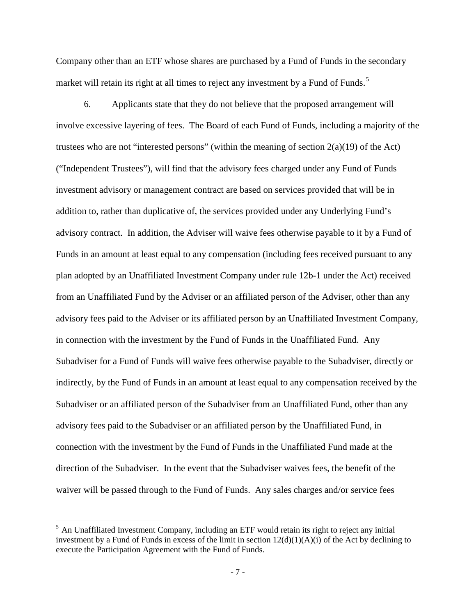Company other than an ETF whose shares are purchased by a Fund of Funds in the secondary market will retain its right at all times to reject any investment by a Fund of Funds.<sup>[5](#page-6-0)</sup>

6. Applicants state that they do not believe that the proposed arrangement will involve excessive layering of fees. The Board of each Fund of Funds, including a majority of the trustees who are not "interested persons" (within the meaning of section 2(a)(19) of the Act) ("Independent Trustees"), will find that the advisory fees charged under any Fund of Funds investment advisory or management contract are based on services provided that will be in addition to, rather than duplicative of, the services provided under any Underlying Fund's advisory contract. In addition, the Adviser will waive fees otherwise payable to it by a Fund of Funds in an amount at least equal to any compensation (including fees received pursuant to any plan adopted by an Unaffiliated Investment Company under rule 12b-1 under the Act) received from an Unaffiliated Fund by the Adviser or an affiliated person of the Adviser, other than any advisory fees paid to the Adviser or its affiliated person by an Unaffiliated Investment Company, in connection with the investment by the Fund of Funds in the Unaffiliated Fund. Any Subadviser for a Fund of Funds will waive fees otherwise payable to the Subadviser, directly or indirectly, by the Fund of Funds in an amount at least equal to any compensation received by the Subadviser or an affiliated person of the Subadviser from an Unaffiliated Fund, other than any advisory fees paid to the Subadviser or an affiliated person by the Unaffiliated Fund, in connection with the investment by the Fund of Funds in the Unaffiliated Fund made at the direction of the Subadviser. In the event that the Subadviser waives fees, the benefit of the waiver will be passed through to the Fund of Funds. Any sales charges and/or service fees

<span id="page-6-0"></span><sup>&</sup>lt;sup>5</sup> An Unaffiliated Investment Company, including an ETF would retain its right to reject any initial investment by a Fund of Funds in excess of the limit in section  $12(d)(1)(A)(i)$  of the Act by declining to execute the Participation Agreement with the Fund of Funds.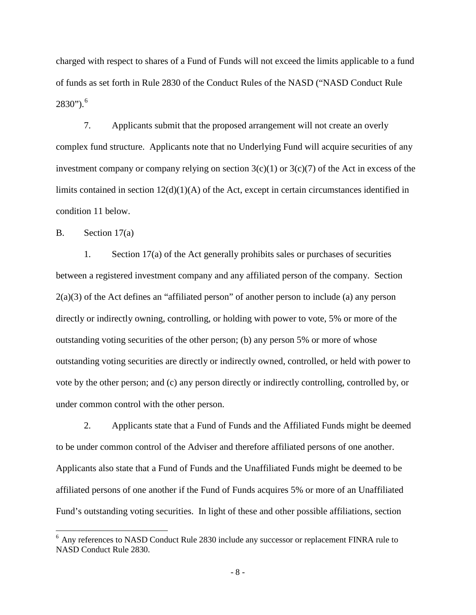charged with respect to shares of a Fund of Funds will not exceed the limits applicable to a fund of funds as set forth in Rule 2830 of the Conduct Rules of the NASD ("NASD Conduct Rule 2830"). [6](#page-7-0)

7. Applicants submit that the proposed arrangement will not create an overly complex fund structure. Applicants note that no Underlying Fund will acquire securities of any investment company or company relying on section  $3(c)(1)$  or  $3(c)(7)$  of the Act in excess of the limits contained in section 12(d)(1)(A) of the Act, except in certain circumstances identified in condition 11 below.

B. Section 17(a)

1. Section 17(a) of the Act generally prohibits sales or purchases of securities between a registered investment company and any affiliated person of the company. Section  $2(a)(3)$  of the Act defines an "affiliated person" of another person to include (a) any person directly or indirectly owning, controlling, or holding with power to vote, 5% or more of the outstanding voting securities of the other person; (b) any person 5% or more of whose outstanding voting securities are directly or indirectly owned, controlled, or held with power to vote by the other person; and (c) any person directly or indirectly controlling, controlled by, or under common control with the other person.

2. Applicants state that a Fund of Funds and the Affiliated Funds might be deemed to be under common control of the Adviser and therefore affiliated persons of one another. Applicants also state that a Fund of Funds and the Unaffiliated Funds might be deemed to be affiliated persons of one another if the Fund of Funds acquires 5% or more of an Unaffiliated Fund's outstanding voting securities. In light of these and other possible affiliations, section

<span id="page-7-0"></span> $6$  Any references to NASD Conduct Rule 2830 include any successor or replacement FINRA rule to NASD Conduct Rule 2830.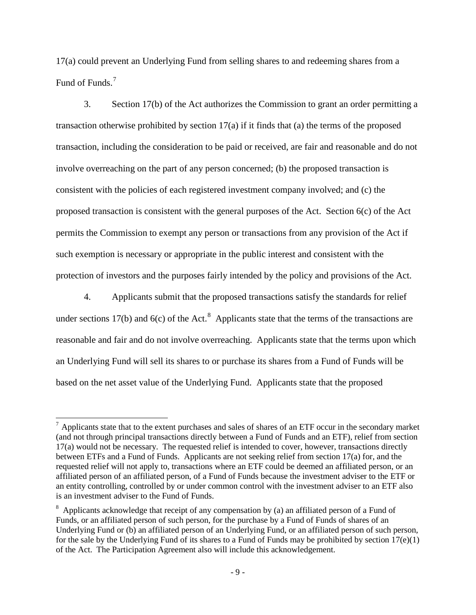17(a) could prevent an Underlying Fund from selling shares to and redeeming shares from a Fund of Funds.<sup>[7](#page-8-0)</sup>

3. Section 17(b) of the Act authorizes the Commission to grant an order permitting a transaction otherwise prohibited by section 17(a) if it finds that (a) the terms of the proposed transaction, including the consideration to be paid or received, are fair and reasonable and do not involve overreaching on the part of any person concerned; (b) the proposed transaction is consistent with the policies of each registered investment company involved; and (c) the proposed transaction is consistent with the general purposes of the Act. Section 6(c) of the Act permits the Commission to exempt any person or transactions from any provision of the Act if such exemption is necessary or appropriate in the public interest and consistent with the protection of investors and the purposes fairly intended by the policy and provisions of the Act.

4. Applicants submit that the proposed transactions satisfy the standards for relief under sections 17(b) and 6(c) of the Act.<sup>[8](#page-8-1)</sup> Applicants state that the terms of the transactions are reasonable and fair and do not involve overreaching. Applicants state that the terms upon which an Underlying Fund will sell its shares to or purchase its shares from a Fund of Funds will be based on the net asset value of the Underlying Fund. Applicants state that the proposed

<span id="page-8-0"></span> $<sup>7</sup>$  Applicants state that to the extent purchases and sales of shares of an ETF occur in the secondary market</sup> (and not through principal transactions directly between a Fund of Funds and an ETF), relief from section 17(a) would not be necessary. The requested relief is intended to cover, however, transactions directly between ETFs and a Fund of Funds. Applicants are not seeking relief from section 17(a) for, and the requested relief will not apply to, transactions where an ETF could be deemed an affiliated person, or an affiliated person of an affiliated person, of a Fund of Funds because the investment adviser to the ETF or an entity controlling, controlled by or under common control with the investment adviser to an ETF also is an investment adviser to the Fund of Funds.

<span id="page-8-1"></span> $8$  Applicants acknowledge that receipt of any compensation by (a) an affiliated person of a Fund of Funds, or an affiliated person of such person, for the purchase by a Fund of Funds of shares of an Underlying Fund or (b) an affiliated person of an Underlying Fund, or an affiliated person of such person, for the sale by the Underlying Fund of its shares to a Fund of Funds may be prohibited by section  $17(e)(1)$ of the Act. The Participation Agreement also will include this acknowledgement.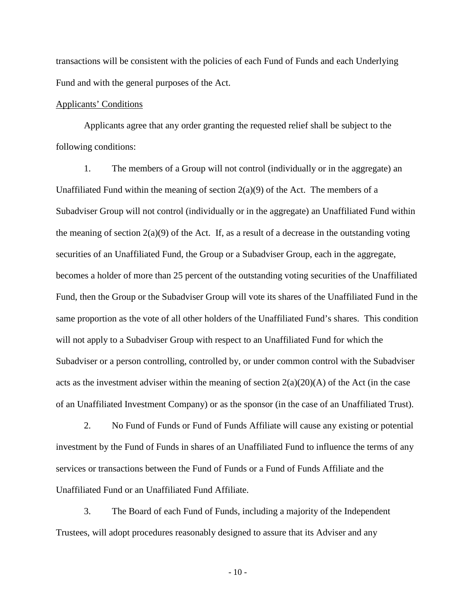transactions will be consistent with the policies of each Fund of Funds and each Underlying Fund and with the general purposes of the Act.

### Applicants' Conditions

Applicants agree that any order granting the requested relief shall be subject to the following conditions:

1. The members of a Group will not control (individually or in the aggregate) an Unaffiliated Fund within the meaning of section  $2(a)(9)$  of the Act. The members of a Subadviser Group will not control (individually or in the aggregate) an Unaffiliated Fund within the meaning of section  $2(a)(9)$  of the Act. If, as a result of a decrease in the outstanding voting securities of an Unaffiliated Fund, the Group or a Subadviser Group, each in the aggregate, becomes a holder of more than 25 percent of the outstanding voting securities of the Unaffiliated Fund, then the Group or the Subadviser Group will vote its shares of the Unaffiliated Fund in the same proportion as the vote of all other holders of the Unaffiliated Fund's shares. This condition will not apply to a Subadviser Group with respect to an Unaffiliated Fund for which the Subadviser or a person controlling, controlled by, or under common control with the Subadviser acts as the investment adviser within the meaning of section  $2(a)(20)(A)$  of the Act (in the case of an Unaffiliated Investment Company) or as the sponsor (in the case of an Unaffiliated Trust).

2. No Fund of Funds or Fund of Funds Affiliate will cause any existing or potential investment by the Fund of Funds in shares of an Unaffiliated Fund to influence the terms of any services or transactions between the Fund of Funds or a Fund of Funds Affiliate and the Unaffiliated Fund or an Unaffiliated Fund Affiliate.

3. The Board of each Fund of Funds, including a majority of the Independent Trustees, will adopt procedures reasonably designed to assure that its Adviser and any

- 10 -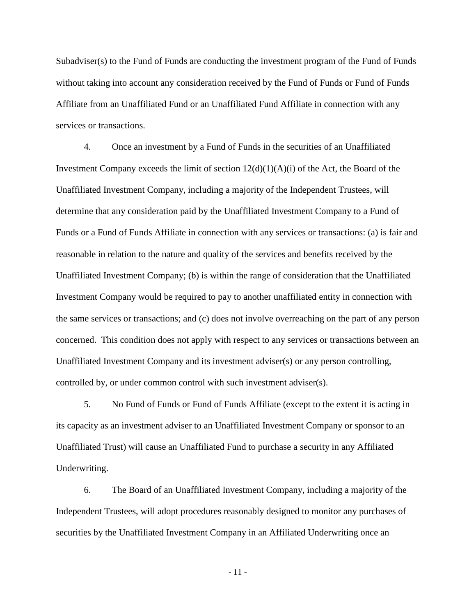Subadviser(s) to the Fund of Funds are conducting the investment program of the Fund of Funds without taking into account any consideration received by the Fund of Funds or Fund of Funds Affiliate from an Unaffiliated Fund or an Unaffiliated Fund Affiliate in connection with any services or transactions.

4. Once an investment by a Fund of Funds in the securities of an Unaffiliated Investment Company exceeds the limit of section  $12(d)(1)(A)(i)$  of the Act, the Board of the Unaffiliated Investment Company, including a majority of the Independent Trustees, will determine that any consideration paid by the Unaffiliated Investment Company to a Fund of Funds or a Fund of Funds Affiliate in connection with any services or transactions: (a) is fair and reasonable in relation to the nature and quality of the services and benefits received by the Unaffiliated Investment Company; (b) is within the range of consideration that the Unaffiliated Investment Company would be required to pay to another unaffiliated entity in connection with the same services or transactions; and (c) does not involve overreaching on the part of any person concerned. This condition does not apply with respect to any services or transactions between an Unaffiliated Investment Company and its investment adviser(s) or any person controlling, controlled by, or under common control with such investment adviser(s).

5. No Fund of Funds or Fund of Funds Affiliate (except to the extent it is acting in its capacity as an investment adviser to an Unaffiliated Investment Company or sponsor to an Unaffiliated Trust) will cause an Unaffiliated Fund to purchase a security in any Affiliated Underwriting.

6. The Board of an Unaffiliated Investment Company, including a majority of the Independent Trustees, will adopt procedures reasonably designed to monitor any purchases of securities by the Unaffiliated Investment Company in an Affiliated Underwriting once an

- 11 -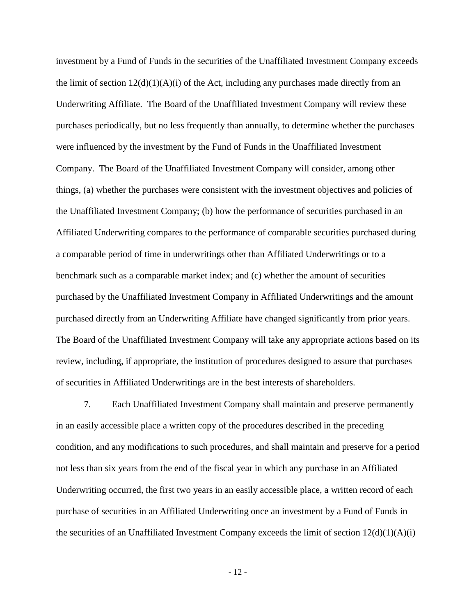investment by a Fund of Funds in the securities of the Unaffiliated Investment Company exceeds the limit of section  $12(d)(1)(A)(i)$  of the Act, including any purchases made directly from an Underwriting Affiliate. The Board of the Unaffiliated Investment Company will review these purchases periodically, but no less frequently than annually, to determine whether the purchases were influenced by the investment by the Fund of Funds in the Unaffiliated Investment Company. The Board of the Unaffiliated Investment Company will consider, among other things, (a) whether the purchases were consistent with the investment objectives and policies of the Unaffiliated Investment Company; (b) how the performance of securities purchased in an Affiliated Underwriting compares to the performance of comparable securities purchased during a comparable period of time in underwritings other than Affiliated Underwritings or to a benchmark such as a comparable market index; and (c) whether the amount of securities purchased by the Unaffiliated Investment Company in Affiliated Underwritings and the amount purchased directly from an Underwriting Affiliate have changed significantly from prior years. The Board of the Unaffiliated Investment Company will take any appropriate actions based on its review, including, if appropriate, the institution of procedures designed to assure that purchases of securities in Affiliated Underwritings are in the best interests of shareholders.

7. Each Unaffiliated Investment Company shall maintain and preserve permanently in an easily accessible place a written copy of the procedures described in the preceding condition, and any modifications to such procedures, and shall maintain and preserve for a period not less than six years from the end of the fiscal year in which any purchase in an Affiliated Underwriting occurred, the first two years in an easily accessible place, a written record of each purchase of securities in an Affiliated Underwriting once an investment by a Fund of Funds in the securities of an Unaffiliated Investment Company exceeds the limit of section  $12(d)(1)(A)(i)$ 

- 12 -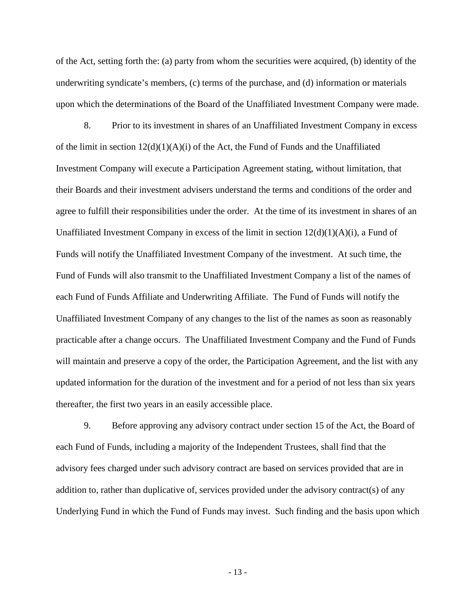of the Act, setting forth the: (a) party from whom the securities were acquired, (b) identity of the underwriting syndicate's members, (c) terms of the purchase, and (d) information or materials upon which the determinations of the Board of the Unaffiliated Investment Company were made.

8. Prior to its investment in shares of an Unaffiliated Investment Company in excess of the limit in section  $12(d)(1)(A)(i)$  of the Act, the Fund of Funds and the Unaffiliated Investment Company will execute a Participation Agreement stating, without limitation, that their Boards and their investment advisers understand the terms and conditions of the order and agree to fulfill their responsibilities under the order. At the time of its investment in shares of an Unaffiliated Investment Company in excess of the limit in section  $12(d)(1)(A)(i)$ , a Fund of Funds will notify the Unaffiliated Investment Company of the investment. At such time, the Fund of Funds will also transmit to the Unaffiliated Investment Company a list of the names of each Fund of Funds Affiliate and Underwriting Affiliate. The Fund of Funds will notify the Unaffiliated Investment Company of any changes to the list of the names as soon as reasonably practicable after a change occurs. The Unaffiliated Investment Company and the Fund of Funds will maintain and preserve a copy of the order, the Participation Agreement, and the list with any updated information for the duration of the investment and for a period of not less than six years thereafter, the first two years in an easily accessible place.

9. Before approving any advisory contract under section 15 of the Act, the Board of each Fund of Funds, including a majority of the Independent Trustees, shall find that the advisory fees charged under such advisory contract are based on services provided that are in addition to, rather than duplicative of, services provided under the advisory contract(s) of any Underlying Fund in which the Fund of Funds may invest. Such finding and the basis upon which

- 13 -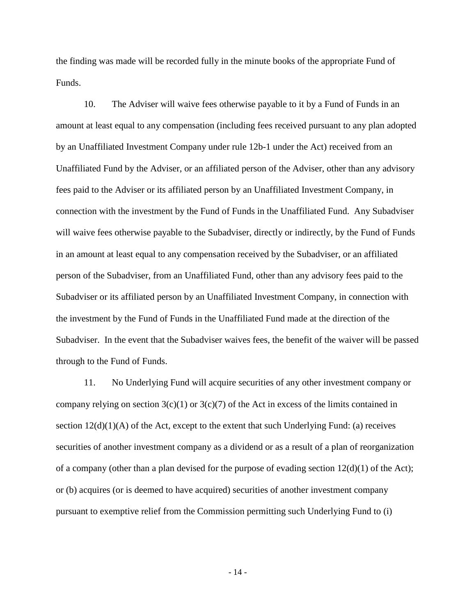the finding was made will be recorded fully in the minute books of the appropriate Fund of Funds.

10. The Adviser will waive fees otherwise payable to it by a Fund of Funds in an amount at least equal to any compensation (including fees received pursuant to any plan adopted by an Unaffiliated Investment Company under rule 12b-1 under the Act) received from an Unaffiliated Fund by the Adviser, or an affiliated person of the Adviser, other than any advisory fees paid to the Adviser or its affiliated person by an Unaffiliated Investment Company, in connection with the investment by the Fund of Funds in the Unaffiliated Fund. Any Subadviser will waive fees otherwise payable to the Subadviser, directly or indirectly, by the Fund of Funds in an amount at least equal to any compensation received by the Subadviser, or an affiliated person of the Subadviser, from an Unaffiliated Fund, other than any advisory fees paid to the Subadviser or its affiliated person by an Unaffiliated Investment Company, in connection with the investment by the Fund of Funds in the Unaffiliated Fund made at the direction of the Subadviser. In the event that the Subadviser waives fees, the benefit of the waiver will be passed through to the Fund of Funds.

11. No Underlying Fund will acquire securities of any other investment company or company relying on section  $3(c)(1)$  or  $3(c)(7)$  of the Act in excess of the limits contained in section  $12(d)(1)(A)$  of the Act, except to the extent that such Underlying Fund: (a) receives securities of another investment company as a dividend or as a result of a plan of reorganization of a company (other than a plan devised for the purpose of evading section  $12(d)(1)$  of the Act); or (b) acquires (or is deemed to have acquired) securities of another investment company pursuant to exemptive relief from the Commission permitting such Underlying Fund to (i)

- 14 -